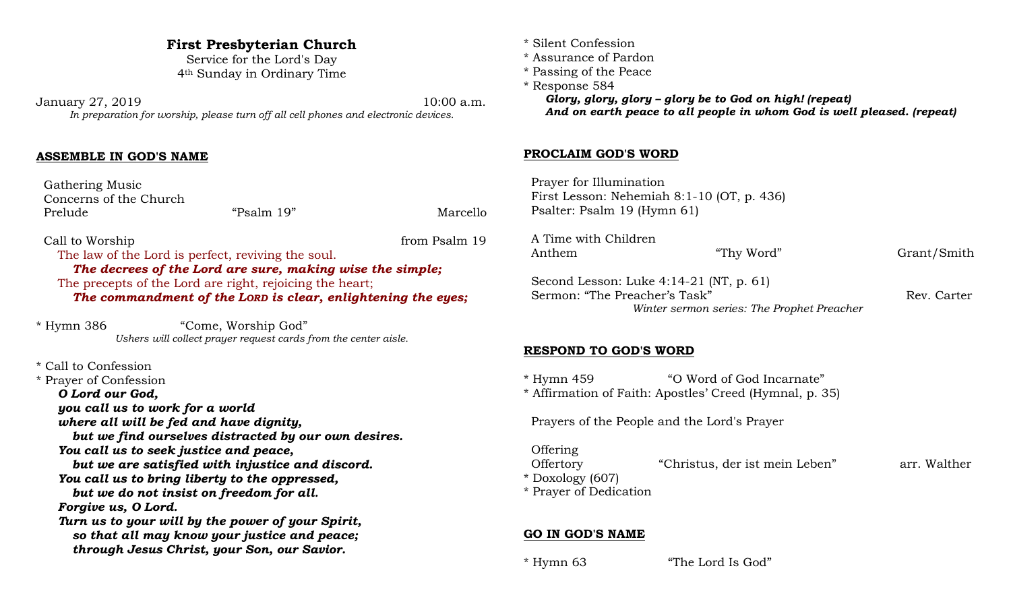### **First Presbyterian Church**

Service for the Lord's Day 4th Sunday in Ordinary Time

January 27, 2019 10:00 a.m. *In preparation for worship, please turn off all cell phones and electronic devices.*

#### **ASSEMBLE IN GOD'S NAME**

 Gathering Music Concerns of the Church Prelude "Psalm 19" Marcello

Call to Worship from Psalm 19 The law of the Lord is perfect, reviving the soul. *The decrees of the Lord are sure, making wise the simple;* The precepts of the Lord are right, rejoicing the heart; *The commandment of the LORD is clear, enlightening the eyes;*

\* Hymn 386 "Come, Worship God" *Ushers will collect prayer request cards from the center aisle.*

\* Call to Confession

\* Prayer of Confession *O Lord our God, you call us to work for a world where all will be fed and have dignity, but we find ourselves distracted by our own desires. You call us to seek justice and peace, but we are satisfied with injustice and discord. You call us to bring liberty to the oppressed, but we do not insist on freedom for all. Forgive us, O Lord. Turn us to your will by the power of your Spirit, so that all may know your justice and peace; through Jesus Christ, your Son, our Savior.*

- \* Silent Confession
- \* Assurance of Pardon
- \* Passing of the Peace

\* Response 584 *Glory, glory, glory – glory be to God on high! (repeat) And on earth peace to all people in whom God is well pleased. (repeat)*

#### **PROCLAIM GOD'S WORD**

 Prayer for Illumination First Lesson: Nehemiah 8:1-10 (OT, p. 436) Psalter: Psalm 19 (Hymn 61)

| A Time with Children<br>Anthem                                             | "Thy Word" | Grant/Smith |
|----------------------------------------------------------------------------|------------|-------------|
| Second Lesson: Luke $4:14-21$ (NT, p. 61)<br>Sermon: "The Preacher's Task" |            | Rev. Carter |
| Winter sermon series: The Prophet Preacher                                 |            |             |

#### **RESPOND TO GOD'S WORD**

\* Hymn 459 "O Word of God Incarnate" \* Affirmation of Faith: Apostles' Creed (Hymnal, p. 35)

Prayers of the People and the Lord's Prayer

**Offering**  Offertory "Christus, der ist mein Leben" arr. Walther \* Doxology (607) \* Prayer of Dedication

#### **GO IN GOD'S NAME**

\* Hymn 63 "The Lord Is God"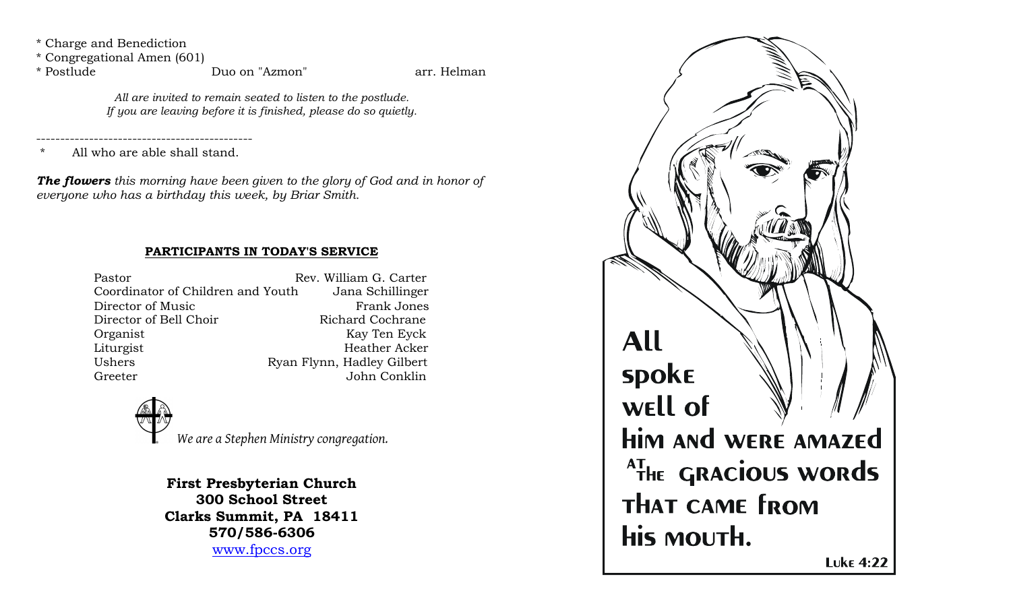\* Charge and Benediction

\* Congregational Amen (601)

\* Postlude Duo on "Azmon" arr. Helman

*All are invited to remain seated to listen to the postlude. If you are leaving before it is finished, please do so quietly.*

---------------------------------------------

All who are able shall stand.

*The flowers this morning have been given to the glory of God and in honor of everyone who has a birthday this week, by Briar Smith.*

## **PARTICIPANTS IN TODAY'S SERVICE**

| Pastor                            | Rev. William G. Carter     |
|-----------------------------------|----------------------------|
| Coordinator of Children and Youth | Jana Schillinger           |
| Director of Music                 | <b>Frank Jones</b>         |
| Director of Bell Choir            | Richard Cochrane           |
| Organist                          | Kay Ten Eyck               |
| Liturgist                         | <b>Heather Acker</b>       |
| Ushers                            | Ryan Flynn, Hadley Gilbert |
| Greeter                           | John Conklin               |
|                                   |                            |



**First Presbyterian Church 300 School Street Clarks Summit, PA 18411 570/586-6306** www.fpccs.org